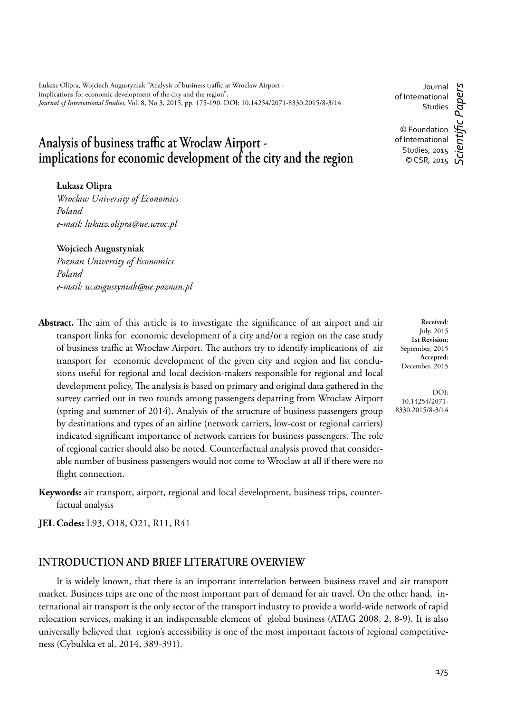Łukasz Olipra, Wojciech Augustyniak "Analysis of business traffic at Wroclaw Airport implications for economic development of the city and the region", *Journal of International Studies*, Vol. 8, No 3, 2015, pp. 175-190. DOI: 10.14254/2071-8330.2015/8-3/14

# Analysis of business traffic at Wroclaw Airport -<br>implications for economic development of the city and the region

**Łukasz Olipra**

*Wroclaw University of Economics Poland e-mail: lukasz.olipra@ue.wroc.pl*

**Wojciech Augustyniak** *Poznan University of Economics Poland e-mail: w.augustyniak@ue.poznan.pl*

Abstract. The aim of this article is to investigate the significance of an airport and air transport links for economic development of a city and/or a region on the case study of business traffic at Wrocław Airport. The authors try to identify implications of air transport for economic development of the given city and region and list conclusions useful for regional and local decision-makers responsible for regional and local development policy, The analysis is based on primary and original data gathered in the survey carried out in two rounds among passengers departing from Wrocław Airport (spring and summer of 2014). Analysis of the structure of business passengers group by destinations and types of an airline (network carriers, low-cost or regional carriers) indicated significant importance of network carriers for business passengers. The role of regional carrier should also be noted. Counterfactual analysis proved that considerable number of business passengers would not come to Wroclaw at all if there were no flight connection.

**Keywords:** air transport, airport, regional and local development, business trips, counterfactual analysis

**JEL Codes:** L93, O18, O21, R11, R41

### **INTRODUCTION AND BRIEF LITERATURE OVERVIEW**

It is widely known, that there is an important interrelation between business travel and air transport market. Business trips are one of the most important part of demand for air travel. On the other hand, international air transport is the only sector of the transport industry to provide a world-wide network of rapid relocation services, making it an indispensable element of global business (ATAG 2008, 2, 8-9). It is also universally believed that region's accessibility is one of the most important factors of regional competitiveness (Cybulska et al. 2014, 389-391).

Journal *Scientifi c Papers* aners of International Studies © Foundation of International Studies, 2015

© CSR, 2015  $\overrightarrow{u}$ 

**Received**: July, 2015 **1st Revision:** September, 2015 **Accepted:** December, 2015

DOI: 10.14254/2071- 8330.2015/8-3/14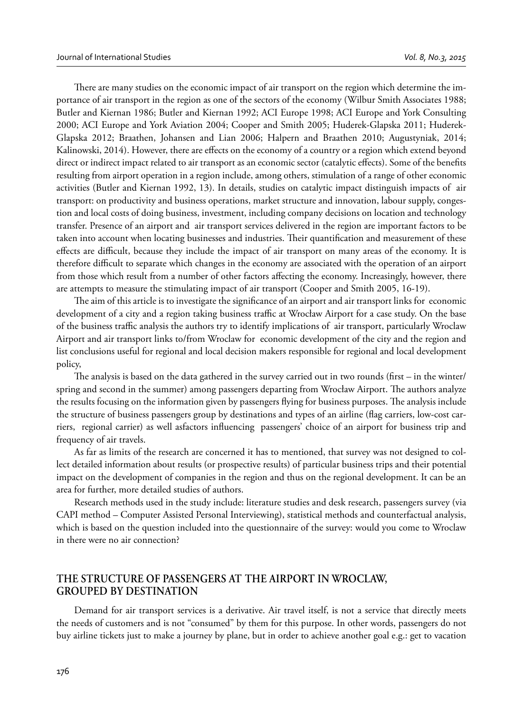There are many studies on the economic impact of air transport on the region which determine the importance of air transport in the region as one of the sectors of the economy (Wilbur Smith Associates 1988; Butler and Kiernan 1986; Butler and Kiernan 1992; ACI Europe 1998; ACI Europe and York Consulting 2000; ACI Europe and York Aviation 2004; Cooper and Smith 2005; Huderek-Glapska 2011; Huderek-Glapska 2012; Braathen, Johansen and Lian 2006; Halpern and Braathen 2010; Augustyniak, 2014; Kalinowski, 2014). However, there are effects on the economy of a country or a region which extend beyond direct or indirect impact related to air transport as an economic sector (catalytic effects). Some of the benefits resulting from airport operation in a region include, among others, stimulation of a range of other economic activities (Butler and Kiernan 1992, 13). In details, studies on catalytic impact distinguish impacts of air transport: on productivity and business operations, market structure and innovation, labour supply, congestion and local costs of doing business, investment, including company decisions on location and technology transfer. Presence of an airport and air transport services delivered in the region are important factors to be taken into account when locating businesses and industries. Their quantification and measurement of these effects are difficult, because they include the impact of air transport on many areas of the economy. It is therefore difficult to separate which changes in the economy are associated with the operation of an airport from those which result from a number of other factors affecting the economy. Increasingly, however, there are attempts to measure the stimulating impact of air transport (Cooper and Smith 2005, 16-19).

The aim of this article is to investigate the significance of an airport and air transport links for economic development of a city and a region taking business traffic at Wrocław Airport for a case study. On the base of the business traffic analysis the authors try to identify implications of air transport, particularly Wroclaw Airport and air transport links to/from Wroclaw for economic development of the city and the region and list conclusions useful for regional and local decision makers responsible for regional and local development policy,

The analysis is based on the data gathered in the survey carried out in two rounds (first  $-$  in the winter/ spring and second in the summer) among passengers departing from Wrocław Airport. The authors analyze the results focusing on the information given by passengers flying for business purposes. The analysis include the structure of business passengers group by destinations and types of an airline (flag carriers, low-cost carriers, regional carrier) as well asfactors influencing passengers' choice of an airport for business trip and frequency of air travels.

As far as limits of the research are concerned it has to mentioned, that survey was not designed to collect detailed information about results (or prospective results) of particular business trips and their potential impact on the development of companies in the region and thus on the regional development. It can be an area for further, more detailed studies of authors.

Research methods used in the study include: literature studies and desk research, passengers survey (via CAPI method – Computer Assisted Personal Interviewing), statistical methods and counterfactual analysis, which is based on the question included into the questionnaire of the survey: would you come to Wroclaw in there were no air connection?

## **THE STRUCTURE OF PASSENGERS AT THE AIRPORT IN WROCLAW, GROUPED BY DESTINATION**

Demand for air transport services is a derivative. Air travel itself, is not a service that directly meets the needs of customers and is not "consumed" by them for this purpose. In other words, passengers do not buy airline tickets just to make a journey by plane, but in order to achieve another goal e.g.: get to vacation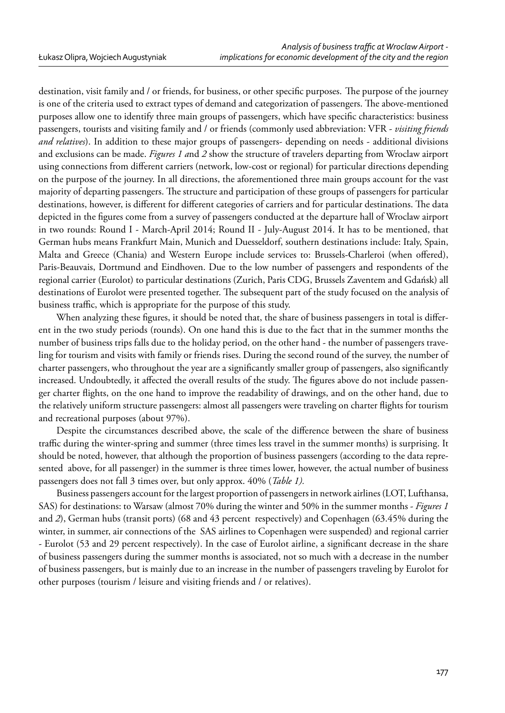destination, visit family and / or friends, for business, or other specific purposes. The purpose of the journey is one of the criteria used to extract types of demand and categorization of passengers. The above-mentioned purposes allow one to identify three main groups of passengers, which have specific characteristics: business passengers, tourists and visiting family and / or friends (commonly used abbreviation: VFR - *visiting friends and relatives*). In addition to these major groups of passengers- depending on needs - additional divisions and exclusions can be made. *Figures 1 a*nd *2* show the structure of travelers departing from Wroclaw airport using connections from different carriers (network, low-cost or regional) for particular directions depending on the purpose of the journey. In all directions, the aforementioned three main groups account for the vast majority of departing passengers. The structure and participation of these groups of passengers for particular destinations, however, is different for different categories of carriers and for particular destinations. The data depicted in the figures come from a survey of passengers conducted at the departure hall of Wroclaw airport in two rounds: Round I - March-April 2014; Round II - July-August 2014. It has to be mentioned, that German hubs means Frankfurt Main, Munich and Duesseldorf, southern destinations include: Italy, Spain, Malta and Greece (Chania) and Western Europe include services to: Brussels-Charleroi (when offered), Paris-Beauvais, Dortmund and Eindhoven. Due to the low number of passengers and respondents of the regional carrier (Eurolot) to particular destinations (Zurich, Paris CDG, Brussels Zaventem and Gdańsk) all destinations of Eurolot were presented together. The subsequent part of the study focused on the analysis of business traffic, which is appropriate for the purpose of this study.

When analyzing these figures, it should be noted that, the share of business passengers in total is different in the two study periods (rounds). On one hand this is due to the fact that in the summer months the number of business trips falls due to the holiday period, on the other hand - the number of passengers traveling for tourism and visits with family or friends rises. During the second round of the survey, the number of charter passengers, who throughout the year are a significantly smaller group of passengers, also significantly increased. Undoubtedly, it affected the overall results of the study. The figures above do not include passenger charter flights, on the one hand to improve the readability of drawings, and on the other hand, due to the relatively uniform structure passengers: almost all passengers were traveling on charter flights for tourism and recreational purposes (about 97%).

Despite the circumstances described above, the scale of the difference between the share of business traffic during the winter-spring and summer (three times less travel in the summer months) is surprising. It should be noted, however, that although the proportion of business passengers (according to the data represented above, for all passenger) in the summer is three times lower, however, the actual number of business passengers does not fall 3 times over, but only approx. 40% (*Table 1).*

Business passengers account for the largest proportion of passengers in network airlines (LOT, Lufthansa, SAS) for destinations: to Warsaw (almost 70% during the winter and 50% in the summer months - *Figures 1* and *2*), German hubs (transit ports) (68 and 43 percent respectively) and Copenhagen (63.45% during the winter, in summer, air connections of the SAS airlines to Copenhagen were suspended) and regional carrier - Eurolot (53 and 29 percent respectively). In the case of Eurolot airline, a significant decrease in the share of business passengers during the summer months is associated, not so much with a decrease in the number of business passengers, but is mainly due to an increase in the number of passengers traveling by Eurolot for other purposes (tourism / leisure and visiting friends and / or relatives).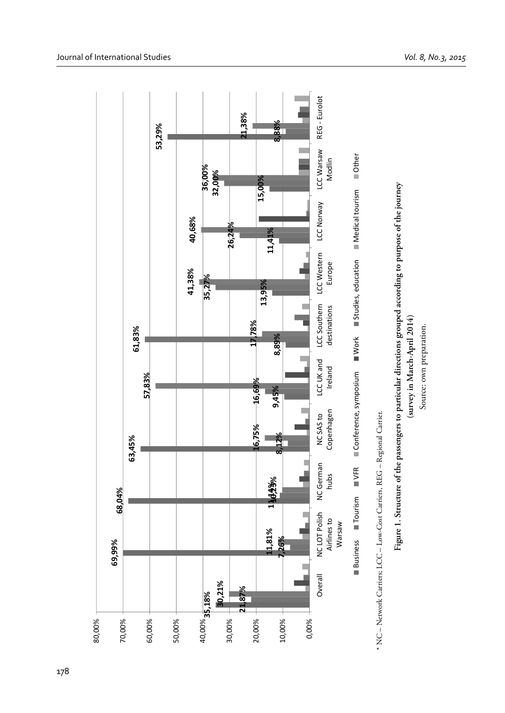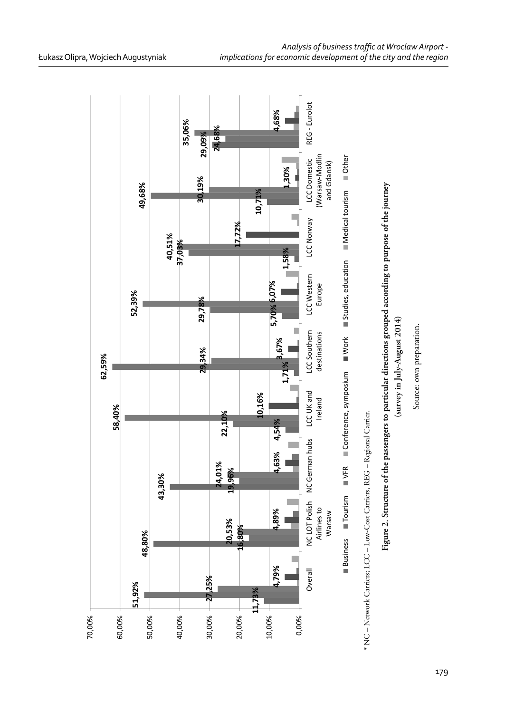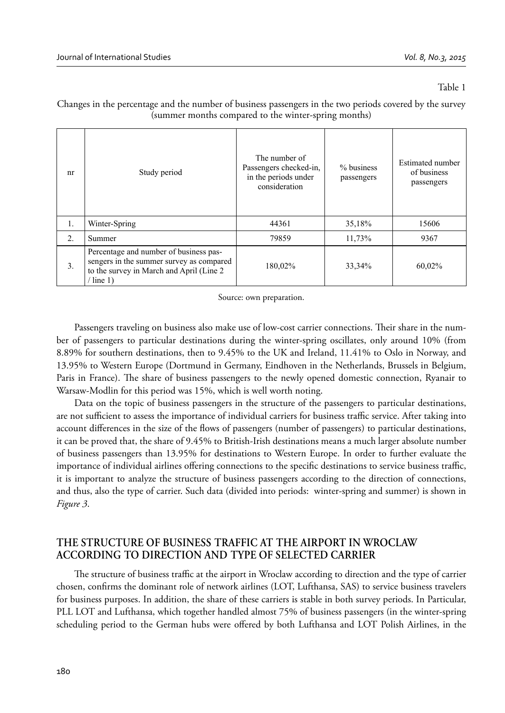#### Table 1

| nr | Study period                                                                                                                                   | The number of<br>Passengers checked-in,<br>in the periods under<br>consideration | % business<br>passengers | Estimated number<br>of business<br>passengers |
|----|------------------------------------------------------------------------------------------------------------------------------------------------|----------------------------------------------------------------------------------|--------------------------|-----------------------------------------------|
|    |                                                                                                                                                |                                                                                  |                          |                                               |
| 1. | Winter-Spring                                                                                                                                  | 44361                                                                            | 35,18%                   | 15606                                         |
| 2. | Summer                                                                                                                                         | 79859                                                                            | 11,73%                   | 9367                                          |
| 3. | Percentage and number of business pas-<br>sengers in the summer survey as compared<br>to the survey in March and April (Line 2)<br>$/$ line 1) | 180,02%                                                                          | 33,34%                   | 60,02%                                        |

Changes in the percentage and the number of business passengers in the two periods covered by the survey (summer months compared to the winter-spring months)

Source: own preparation.

Passengers traveling on business also make use of low-cost carrier connections. Their share in the number of passengers to particular destinations during the winter-spring oscillates, only around 10% (from 8.89% for southern destinations, then to 9.45% to the UK and Ireland, 11.41% to Oslo in Norway, and 13.95% to Western Europe (Dortmund in Germany, Eindhoven in the Netherlands, Brussels in Belgium, Paris in France). The share of business passengers to the newly opened domestic connection, Ryanair to Warsaw-Modlin for this period was 15%, which is well worth noting.

Data on the topic of business passengers in the structure of the passengers to particular destinations, are not sufficient to assess the importance of individual carriers for business traffic service. After taking into account differences in the size of the flows of passengers (number of passengers) to particular destinations, it can be proved that, the share of 9.45% to British-Irish destinations means a much larger absolute number of business passengers than 13.95% for destinations to Western Europe. In order to further evaluate the importance of individual airlines offering connections to the specific destinations to service business traffic, it is important to analyze the structure of business passengers according to the direction of connections, and thus, also the type of carrier. Such data (divided into periods: winter-spring and summer) is shown in *Figure 3*.

# **THE STRUCTURE OF BUSINESS TRAFFIC AT THE AIRPORT IN WROCLAW ACCORDING TO DIRECTION AND TYPE OF SELECTED CARRIER**

The structure of business traffic at the airport in Wroclaw according to direction and the type of carrier chosen, confirms the dominant role of network airlines (LOT, Lufthansa, SAS) to service business travelers for business purposes. In addition, the share of these carriers is stable in both survey periods. In Particular, PLL LOT and Lufthansa, which together handled almost 75% of business passengers (in the winter-spring scheduling period to the German hubs were offered by both Lufthansa and LOT Polish Airlines, in the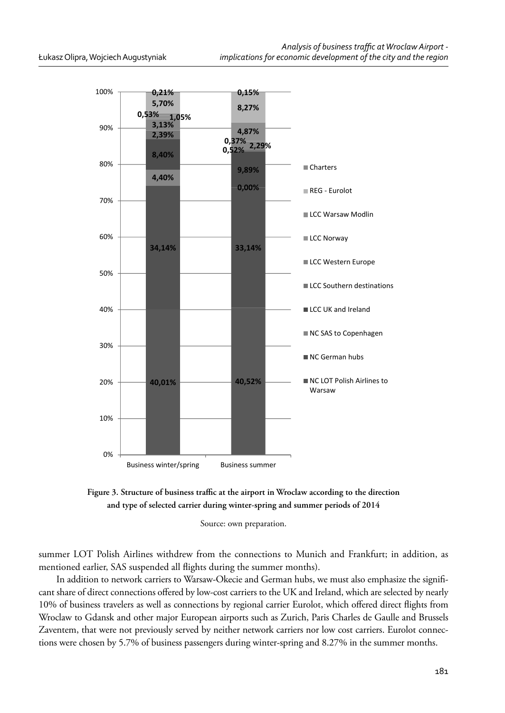

Figure 3. Structure of business traffic at the airport in Wroclaw according to the direction **and type of selected carrier during winter-spring and summer periods of 2014**

Source: own preparation.

summer LOT Polish Airlines withdrew from the connections to Munich and Frankfurt; in addition, as mentioned earlier, SAS suspended all flights during the summer months).

In addition to network carriers to Warsaw-Okecie and German hubs, we must also emphasize the significant share of direct connections offered by low-cost carriers to the UK and Ireland, which are selected by nearly 10% of business travelers as well as connections by regional carrier Eurolot, which offered direct flights from Wroclaw to Gdansk and other major European airports such as Zurich, Paris Charles de Gaulle and Brussels Zaventem, that were not previously served by neither network carriers nor low cost carriers. Eurolot connections were chosen by 5.7% of business passengers during winter-spring and 8.27% in the summer months.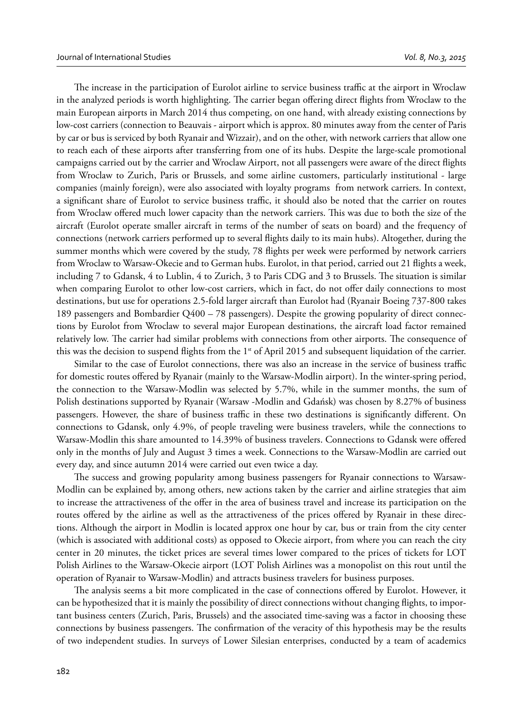The increase in the participation of Eurolot airline to service business traffic at the airport in Wroclaw in the analyzed periods is worth highlighting. The carrier began offering direct flights from Wroclaw to the main European airports in March 2014 thus competing, on one hand, with already existing connections by low-cost carriers (connection to Beauvais - airport which is approx. 80 minutes away from the center of Paris by car or bus is serviced by both Ryanair and Wizzair), and on the other, with network carriers that allow one to reach each of these airports after transferring from one of its hubs. Despite the large-scale promotional campaigns carried out by the carrier and Wroclaw Airport, not all passengers were aware of the direct flights from Wroclaw to Zurich, Paris or Brussels, and some airline customers, particularly institutional - large companies (mainly foreign), were also associated with loyalty programs from network carriers. In context, a significant share of Eurolot to service business traffic, it should also be noted that the carrier on routes from Wroclaw offered much lower capacity than the network carriers. This was due to both the size of the aircraft (Eurolot operate smaller aircraft in terms of the number of seats on board) and the frequency of connections (network carriers performed up to several flights daily to its main hubs). Altogether, during the summer months which were covered by the study, 78 flights per week were performed by network carriers from Wroclaw to Warsaw-Okecie and to German hubs. Eurolot, in that period, carried out 21 flights a week, including 7 to Gdansk, 4 to Lublin, 4 to Zurich, 3 to Paris CDG and 3 to Brussels. The situation is similar when comparing Eurolot to other low-cost carriers, which in fact, do not offer daily connections to most destinations, but use for operations 2.5-fold larger aircraft than Eurolot had (Ryanair Boeing 737-800 takes 189 passengers and Bombardier Q400 – 78 passengers). Despite the growing popularity of direct connections by Eurolot from Wroclaw to several major European destinations, the aircraft load factor remained relatively low. The carrier had similar problems with connections from other airports. The consequence of this was the decision to suspend flights from the  $1<sup>st</sup>$  of April 2015 and subsequent liquidation of the carrier.

Similar to the case of Eurolot connections, there was also an increase in the service of business traffic for domestic routes offered by Ryanair (mainly to the Warsaw-Modlin airport). In the winter-spring period, the connection to the Warsaw-Modlin was selected by 5.7%, while in the summer months, the sum of Polish destinations supported by Ryanair (Warsaw -Modlin and Gdańsk) was chosen by 8.27% of business passengers. However, the share of business traffic in these two destinations is significantly different. On connections to Gdansk, only 4.9%, of people traveling were business travelers, while the connections to Warsaw-Modlin this share amounted to 14.39% of business travelers. Connections to Gdansk were offered only in the months of July and August 3 times a week. Connections to the Warsaw-Modlin are carried out every day, and since autumn 2014 were carried out even twice a day.

The success and growing popularity among business passengers for Ryanair connections to Warsaw-Modlin can be explained by, among others, new actions taken by the carrier and airline strategies that aim to increase the attractiveness of the offer in the area of business travel and increase its participation on the routes offered by the airline as well as the attractiveness of the prices offered by Ryanair in these directions. Although the airport in Modlin is located approx one hour by car, bus or train from the city center (which is associated with additional costs) as opposed to Okecie airport, from where you can reach the city center in 20 minutes, the ticket prices are several times lower compared to the prices of tickets for LOT Polish Airlines to the Warsaw-Okecie airport (LOT Polish Airlines was a monopolist on this rout until the operation of Ryanair to Warsaw-Modlin) and attracts business travelers for business purposes.

The analysis seems a bit more complicated in the case of connections offered by Eurolot. However, it can be hypothesized that it is mainly the possibility of direct connections without changing flights, to important business centers (Zurich, Paris, Brussels) and the associated time-saving was a factor in choosing these connections by business passengers. The confirmation of the veracity of this hypothesis may be the results of two independent studies. In surveys of Lower Silesian enterprises, conducted by a team of academics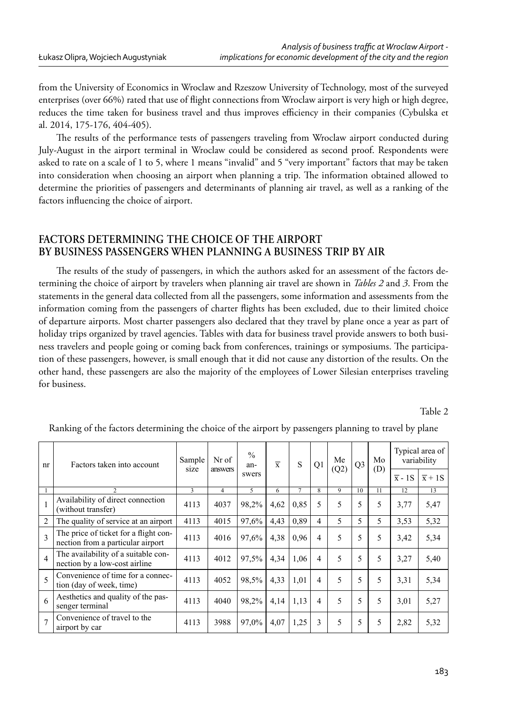from the University of Economics in Wroclaw and Rzeszow University of Technology, most of the surveyed enterprises (over 66%) rated that use of flight connections from Wroclaw airport is very high or high degree, reduces the time taken for business travel and thus improves efficiency in their companies (Cybulska et al. 2014, 175-176, 404-405).

The results of the performance tests of passengers traveling from Wroclaw airport conducted during July-August in the airport terminal in Wroclaw could be considered as second proof. Respondents were asked to rate on a scale of 1 to 5, where 1 means "invalid" and 5 "very important" factors that may be taken into consideration when choosing an airport when planning a trip. The information obtained allowed to determine the priorities of passengers and determinants of planning air travel, as well as a ranking of the factors influencing the choice of airport.

## **FACTORS DETERMINING THE CHOICE OF THE AIRPORT BY BUSINESS PASSENGERS WHEN PLANNING A BUSINESS TRIP BY AIR**

The results of the study of passengers, in which the authors asked for an assessment of the factors determining the choice of airport by travelers when planning air travel are shown in *Tables 2* and *3*. From the statements in the general data collected from all the passengers, some information and assessments from the information coming from the passengers of charter flights has been excluded, due to their limited choice of departure airports. Most charter passengers also declared that they travel by plane once a year as part of holiday trips organized by travel agencies. Tables with data for business travel provide answers to both business travelers and people going or coming back from conferences, trainings or symposiums. The participation of these passengers, however, is small enough that it did not cause any distortion of the results. On the other hand, these passengers are also the majority of the employees of Lower Silesian enterprises traveling for business.

Table 2

| nr                       | Factors taken into account                                                 | Sample<br>size | Nr of          | $\frac{0}{0}$<br>an- | $\overline{x}$ | S    | Q1             | Me<br>(Q2) | Q <sub>3</sub> | Mo<br>(D) | Typical area of<br>variability |                     |
|--------------------------|----------------------------------------------------------------------------|----------------|----------------|----------------------|----------------|------|----------------|------------|----------------|-----------|--------------------------------|---------------------|
|                          |                                                                            |                | answers        | swers                |                |      |                |            |                |           | $\overline{x}$ - 1S            | $\overline{x}$ + 1S |
|                          | $\mathcal{P}$                                                              | 3              | $\overline{4}$ | 5                    | 6              |      | 8              | 9          | 10             | 11        | 12                             | 13                  |
|                          | Availability of direct connection<br>(without transfer)                    | 4113           | 4037           | 98,2%                | 4,62           | 0.85 | 5              | 5          | 5              | 5         | 3,77                           | 5,47                |
| $\overline{2}$           | The quality of service at an airport                                       | 4113           | 4015           | 97,6%                | 4,43           | 0,89 | 4              | 5          | 5              | 5         | 3,53                           | 5,32                |
| 3                        | The price of ticket for a flight con-<br>nection from a particular airport | 4113           | 4016           | 97,6%                | 4,38           | 0.96 | 4              | 5          | 5              | 5         | 3,42                           | 5,34                |
| $\overline{4}$           | The availability of a suitable con-<br>nection by a low-cost airline       | 4113           | 4012           | 97.5%                | 4.34           | 1,06 | 4              | 5          | 5              | 5         | 3,27                           | 5,40                |
| $\overline{\phantom{0}}$ | Convenience of time for a connec-<br>tion (day of week, time)              | 4113           | 4052           | 98,5%                | 4,33           | 1,01 | 4              | 5          | 5              | 5         | 3.31                           | 5,34                |
| 6                        | Aesthetics and quality of the pas-<br>senger terminal                      | 4113           | 4040           | 98,2%                | 4.14           | 1,13 | $\overline{4}$ | 5          | 5              | 5         | 3,01                           | 5,27                |
| $\overline{7}$           | Convenience of travel to the<br>airport by car                             | 4113           | 3988           | 97,0%                | 4,07           | 1,25 | 3              | 5          | 5              | 5         | 2,82                           | 5,32                |

Ranking of the factors determining the choice of the airport by passengers planning to travel by plane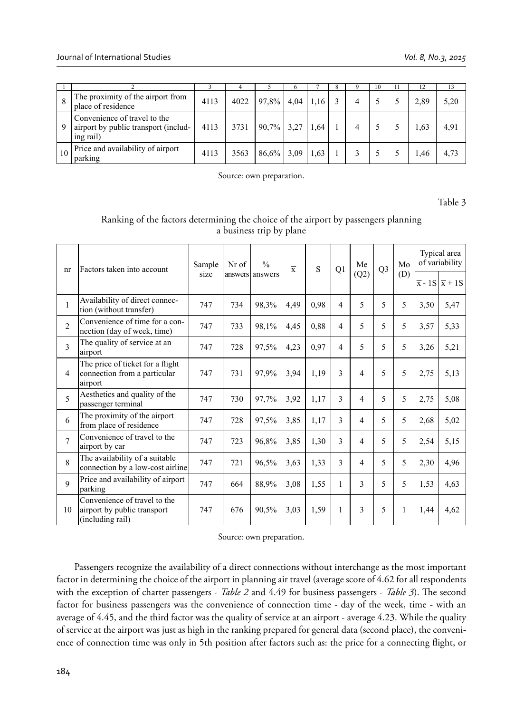|    |                                                                                   |      |      |       | o    |                                  |  | 10 | ш | 12   |      |
|----|-----------------------------------------------------------------------------------|------|------|-------|------|----------------------------------|--|----|---|------|------|
| 8  | The proximity of the airport from<br>place of residence                           | 4113 | 4022 | 97,8% | 4.04 | $1.16$ <sup><math>+</math></sup> |  |    |   | 2,89 | 5,20 |
| 9  | Convenience of travel to the<br>airport by public transport (includ-<br>ing rail) | 4113 | 3731 | 90,7% | 3,27 | .64                              |  |    |   | 1,63 | 4.91 |
| 10 | Price and availability of airport<br>parking                                      | 4113 | 3563 | 86.6% | 3.09 | .63                              |  |    |   | 1.46 | 4.73 |

Source: own preparation.

Table 3

#### Ranking of the factors determining the choice of the airport by passengers planning a business trip by plane

| nr             | Factors taken into account                                                      | Sample | Nr of | $\frac{0}{0}$   | $\overline{x}$ | S    | Q1             | Me<br>(Q2)     | Q <sub>3</sub> | Mo  | Typical area<br>of variability |                                         |
|----------------|---------------------------------------------------------------------------------|--------|-------|-----------------|----------------|------|----------------|----------------|----------------|-----|--------------------------------|-----------------------------------------|
|                |                                                                                 | size   |       | answers answers |                |      |                |                |                | (D) |                                | $\overline{x}$ - 1S $\overline{x}$ + 1S |
| 1              | Availability of direct connec-<br>tion (without transfer)                       | 747    | 734   | 98,3%           | 4,49           | 0.98 | 4              | 5              | 5              | 5   | 3,50                           | 5,47                                    |
| $\overline{2}$ | Convenience of time for a con-<br>nection (day of week, time)                   | 747    | 733   | 98,1%           | 4,45           | 0.88 | $\overline{4}$ | 5              | 5              | 5   | 3,57                           | 5,33                                    |
| 3              | The quality of service at an<br>airport                                         | 747    | 728   | 97,5%           | 4,23           | 0.97 | 4              | 5              | 5              | 5   | 3,26                           | 5,21                                    |
| $\overline{4}$ | The price of ticket for a flight<br>connection from a particular<br>airport     | 747    | 731   | 97,9%           | 3.94           | 1,19 | 3              | $\overline{4}$ | 5              | 5   | 2,75                           | 5,13                                    |
| $\varsigma$    | Aesthetics and quality of the<br>passenger terminal                             | 747    | 730   | 97,7%           | 3.92           | 1,17 | 3              | $\overline{4}$ | 5              | 5   | 2,75                           | 5,08                                    |
| 6              | The proximity of the airport<br>from place of residence                         | 747    | 728   | 97,5%           | 3,85           | 1,17 | 3              | $\overline{4}$ | 5              | 5   | 2,68                           | 5,02                                    |
| $\overline{7}$ | Convenience of travel to the<br>airport by car                                  | 747    | 723   | 96,8%           | 3,85           | 1,30 | 3              | $\overline{4}$ | 5              | 5   | 2,54                           | 5,15                                    |
| 8              | The availability of a suitable<br>connection by a low-cost airline              | 747    | 721   | 96,5%           | 3,63           | 1.33 | 3              | $\overline{4}$ | 5              | 5   | 2,30                           | 4,96                                    |
| $\mathbf{Q}$   | Price and availability of airport<br>parking                                    | 747    | 664   | 88,9%           | 3,08           | 1,55 | 1              | 3              | 5              | 5   | 1,53                           | 4,63                                    |
| 10             | Convenience of travel to the<br>airport by public transport<br>(including rail) | 747    | 676   | 90,5%           | 3.03           | 1,59 | 1              | $\mathbf{3}$   | 5              | 1   | 1,44                           | 4,62                                    |

Source: own preparation.

Passengers recognize the availability of a direct connections without interchange as the most important factor in determining the choice of the airport in planning air travel (average score of 4.62 for all respondents with the exception of charter passengers - *Table 2* and 4.49 for business passengers - *Table 3*). The second factor for business passengers was the convenience of connection time - day of the week, time - with an average of 4.45, and the third factor was the quality of service at an airport - average 4.23. While the quality of service at the airport was just as high in the ranking prepared for general data (second place), the convenience of connection time was only in 5th position after factors such as: the price for a connecting flight, or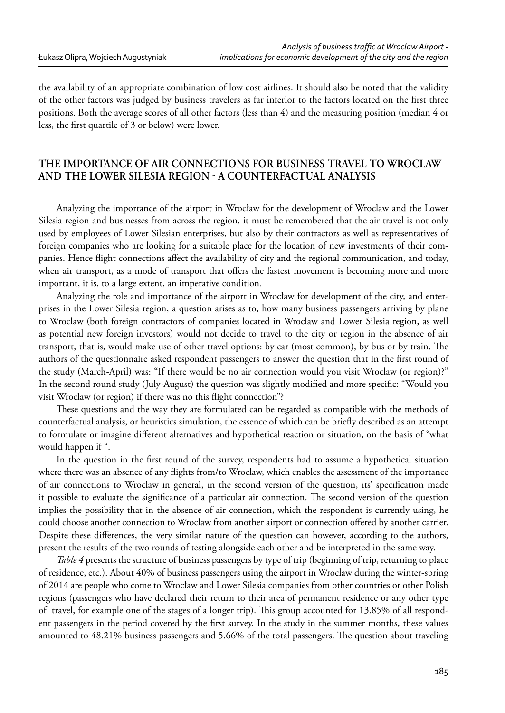the availability of an appropriate combination of low cost airlines. It should also be noted that the validity of the other factors was judged by business travelers as far inferior to the factors located on the first three positions. Both the average scores of all other factors (less than 4) and the measuring position (median 4 or less, the first quartile of 3 or below) were lower.

## **THE IMPORTANCE OF AIR CONNECTIONS FOR BUSINESS TRAVEL TO WROCLAW AND THE LOWER SILESIA REGION A COUNTERFACTUAL ANALYSIS**

Analyzing the importance of the airport in Wrocław for the development of Wroclaw and the Lower Silesia region and businesses from across the region, it must be remembered that the air travel is not only used by employees of Lower Silesian enterprises, but also by their contractors as well as representatives of foreign companies who are looking for a suitable place for the location of new investments of their companies. Hence flight connections affect the availability of city and the regional communication, and today, when air transport, as a mode of transport that offers the fastest movement is becoming more and more important, it is, to a large extent, an imperative condition.

Analyzing the role and importance of the airport in Wrocław for development of the city, and enterprises in the Lower Silesia region, a question arises as to, how many business passengers arriving by plane to Wroclaw (both foreign contractors of companies located in Wroclaw and Lower Silesia region, as well as potential new foreign investors) would not decide to travel to the city or region in the absence of air transport, that is, would make use of other travel options: by car (most common), by bus or by train. The authors of the questionnaire asked respondent passengers to answer the question that in the first round of the study (March-April) was: "If there would be no air connection would you visit Wroclaw (or region)?" In the second round study (July-August) the question was slightly modified and more specific: "Would you visit Wroclaw (or region) if there was no this flight connection"?

These questions and the way they are formulated can be regarded as compatible with the methods of counterfactual analysis, or heuristics simulation, the essence of which can be briefly described as an attempt to formulate or imagine different alternatives and hypothetical reaction or situation, on the basis of "what would happen if ".

In the question in the first round of the survey, respondents had to assume a hypothetical situation where there was an absence of any flights from/to Wroclaw, which enables the assessment of the importance of air connections to Wroclaw in general, in the second version of the question, its' specification made it possible to evaluate the significance of a particular air connection. The second version of the question implies the possibility that in the absence of air connection, which the respondent is currently using, he could choose another connection to Wroclaw from another airport or connection offered by another carrier. Despite these differences, the very similar nature of the question can however, according to the authors, present the results of the two rounds of testing alongside each other and be interpreted in the same way.

*Table 4* presents the structure of business passengers by type of trip (beginning of trip, returning to place of residence, etc.). About 40% of business passengers using the airport in Wroclaw during the winter-spring of 2014 are people who come to Wrocław and Lower Silesia companies from other countries or other Polish regions (passengers who have declared their return to their area of permanent residence or any other type of travel, for example one of the stages of a longer trip). This group accounted for 13.85% of all respondent passengers in the period covered by the first survey. In the study in the summer months, these values amounted to 48.21% business passengers and 5.66% of the total passengers. The question about traveling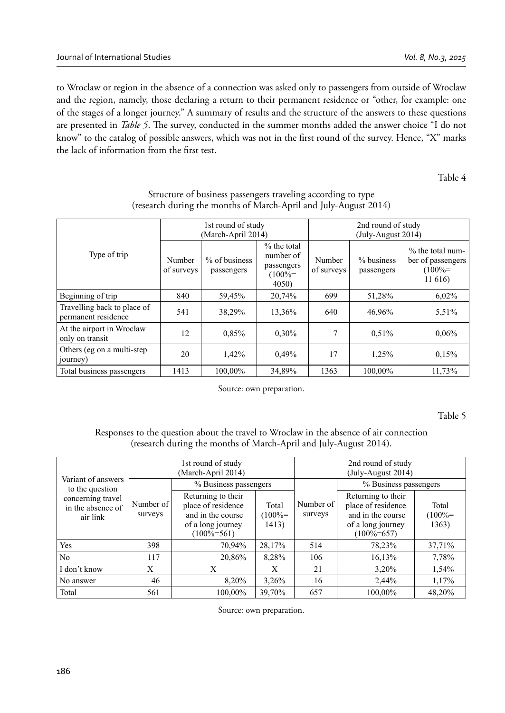to Wroclaw or region in the absence of a connection was asked only to passengers from outside of Wroclaw and the region, namely, those declaring a return to their permanent residence or "other, for example: one of the stages of a longer journey." A summary of results and the structure of the answers to these questions are presented in *Table 5*. The survey, conducted in the summer months added the answer choice "I do not know" to the catalog of possible answers, which was not in the first round of the survey. Hence, "X" marks the lack of information from the first test.

Table 4

|                                                    |                      | 1st round of study<br>(March-April 2014) |                                                                | 2nd round of study<br>(July-August 2014) |                          |                                                               |  |  |
|----------------------------------------------------|----------------------|------------------------------------------|----------------------------------------------------------------|------------------------------------------|--------------------------|---------------------------------------------------------------|--|--|
| Type of trip                                       | Number<br>of surveys | % of business<br>passengers              | $%$ the total<br>number of<br>passengers<br>$(100% =$<br>4050) | Number<br>of surveys                     | % business<br>passengers | $%$ the total num-<br>ber of passengers<br>$(100% =$<br>11616 |  |  |
| Beginning of trip                                  | 840                  | 59,45%                                   | 20,74%                                                         | 699                                      | 51,28%                   | 6,02%                                                         |  |  |
| Travelling back to place of<br>permanent residence | 541                  | 38,29%                                   | 13,36%                                                         | 640                                      | 46,96%                   | 5,51%                                                         |  |  |
| At the airport in Wroclaw<br>only on transit       | 12.                  | 0,85%                                    | 0.30%                                                          | $\overline{7}$                           | 0.51%                    | 0.06%                                                         |  |  |
| Others (eg on a multi-step)<br>journey)            | 20                   | 1,42%                                    | 0,49%                                                          | 17                                       | 1,25%                    | 0.15%                                                         |  |  |
| Total business passengers                          | 1413                 | 100.00%                                  | 34,89%                                                         | 1363                                     | 100.00%                  | 11.73%                                                        |  |  |

| Structure of business passengers traveling according to type     |
|------------------------------------------------------------------|
| (research during the months of March-April and July-August 2014) |

Source: own preparation.

Table 5

Responses to the question about the travel to Wroclaw in the absence of air connection (research during the months of March-April and July-August 2014).

|                                                    |                      | 1st round of study<br>(March-April 2014)                                                              |                             | 2nd round of study<br>(July-August 2014) |                                                                                                       |                              |  |
|----------------------------------------------------|----------------------|-------------------------------------------------------------------------------------------------------|-----------------------------|------------------------------------------|-------------------------------------------------------------------------------------------------------|------------------------------|--|
| Variant of answers<br>to the question              |                      | % Business passengers                                                                                 |                             |                                          | % Business passengers                                                                                 |                              |  |
| concerning travel<br>in the absence of<br>air link | Number of<br>surveys | Returning to their<br>place of residence<br>and in the course<br>of a long journey<br>$(100\% = 561)$ | Total<br>$(100% =$<br>1413) | Number of<br>surveys                     | Returning to their<br>place of residence<br>and in the course<br>of a long journey<br>$(100\% = 657)$ | Total<br>$(100\% =$<br>1363) |  |
| Yes                                                | 398                  | 70,94%                                                                                                | 28,17%                      | 514                                      | 78,23%                                                                                                | 37,71%                       |  |
| N <sub>0</sub>                                     | 117                  | 20,86%                                                                                                | 8,28%                       | 106                                      | 16,13%                                                                                                | 7,78%                        |  |
| I don't know                                       | X                    | X                                                                                                     | X                           | 21                                       | 3,20%                                                                                                 | 1,54%                        |  |
| No answer                                          | 46                   | 8,20%                                                                                                 | 3,26%                       | 16                                       | 2,44%                                                                                                 | 1,17%                        |  |
| Total                                              | 561                  | 100.00%                                                                                               | 39.70%                      | 657                                      | 100.00%                                                                                               | 48.20%                       |  |

Source: own preparation.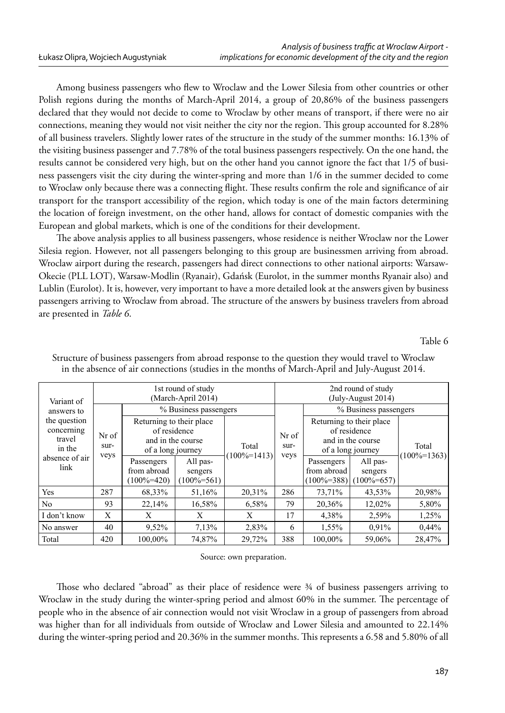Among business passengers who flew to Wroclaw and the Lower Silesia from other countries or other Polish regions during the months of March-April 2014, a group of 20,86% of the business passengers declared that they would not decide to come to Wroclaw by other means of transport, if there were no air connections, meaning they would not visit neither the city nor the region. This group accounted for 8.28% of all business travelers. Slightly lower rates of the structure in the study of the summer months: 16.13% of the visiting business passenger and 7.78% of the total business passengers respectively. On the one hand, the results cannot be considered very high, but on the other hand you cannot ignore the fact that 1/5 of business passengers visit the city during the winter-spring and more than 1/6 in the summer decided to come to Wroclaw only because there was a connecting flight. These results confirm the role and significance of air transport for the transport accessibility of the region, which today is one of the main factors determining the location of foreign investment, on the other hand, allows for contact of domestic companies with the European and global markets, which is one of the conditions for their development.

The above analysis applies to all business passengers, whose residence is neither Wroclaw nor the Lower Silesia region. However, not all passengers belonging to this group are businessmen arriving from abroad. Wroclaw airport during the research, passengers had direct connections to other national airports: Warsaw-Okecie (PLL LOT), Warsaw-Modlin (Ryanair), Gdańsk (Eurolot, in the summer months Ryanair also) and Lublin (Eurolot). It is, however, very important to have a more detailed look at the answers given by business passengers arriving to Wroclaw from abroad. The structure of the answers by business travelers from abroad are presented in *Table 6*.

Table 6

| Variant of                                     |               |                                                                                    | 1st round of study<br>(March-April 2014) |                  | 2nd round of study<br>(July-August 2014) |                                                                                    |                                      |                  |  |  |
|------------------------------------------------|---------------|------------------------------------------------------------------------------------|------------------------------------------|------------------|------------------------------------------|------------------------------------------------------------------------------------|--------------------------------------|------------------|--|--|
| answers to                                     |               | % Business passengers                                                              |                                          |                  |                                          |                                                                                    | % Business passengers                |                  |  |  |
| the question<br>concerning<br>travel<br>in the | Nr of<br>sur- | Returning to their place<br>of residence<br>and in the course<br>of a long journey |                                          | Total            | Nr of<br>sur-<br>veys                    | Returning to their place<br>of residence<br>and in the course<br>of a long journey |                                      |                  |  |  |
| absence of air<br>link                         | veys          | Passengers<br>from abroad<br>$100\% = 420$                                         | All pas-<br>sengers<br>$(100\% = 561)$   | $(100\% = 1413)$ |                                          | Passengers<br>from abroad<br>$(100\% = 388)$                                       | All pas-<br>sengers<br>$100\% = 657$ | $(100\% = 1363)$ |  |  |
| Yes                                            | 287           | 68,33%                                                                             | 51,16%                                   | 20,31%           | 286                                      | 73,71%                                                                             | 43,53%                               | 20,98%           |  |  |
| N <sub>0</sub>                                 | 93            | 22,14%                                                                             | 16,58%                                   | 6,58%            | 79                                       | 20,36%                                                                             | 12,02%                               | 5,80%            |  |  |
| I don't know                                   | X             | X                                                                                  | X                                        | X                | 17                                       | 4,38%                                                                              | 2,59%                                | 1,25%            |  |  |
| No answer                                      | 40            | 9,52%                                                                              | 7,13%                                    | 2,83%            | 6                                        | 1,55%                                                                              | 0.91%                                | 0,44%            |  |  |
| Total                                          | 420           | 100,00%                                                                            | 74,87%                                   | 29,72%           | 388                                      | 100,00%                                                                            | 59,06%                               | 28,47%           |  |  |

Structure of business passengers from abroad response to the question they would travel to Wroclaw in the absence of air connections (studies in the months of March-April and July-August 2014.

Source: own preparation.

Those who declared "abroad" as their place of residence were 3/4 of business passengers arriving to Wroclaw in the study during the winter-spring period and almost 60% in the summer. The percentage of people who in the absence of air connection would not visit Wroclaw in a group of passengers from abroad was higher than for all individuals from outside of Wroclaw and Lower Silesia and amounted to 22.14% during the winter-spring period and 20.36% in the summer months. This represents a 6.58 and 5.80% of all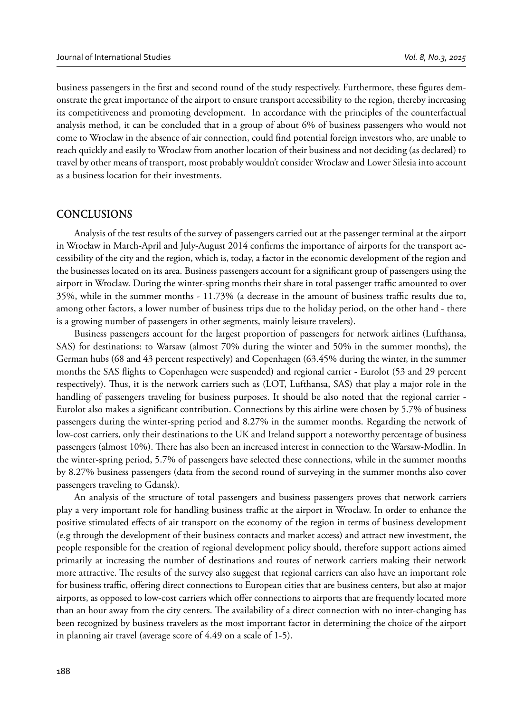business passengers in the first and second round of the study respectively. Furthermore, these figures demonstrate the great importance of the airport to ensure transport accessibility to the region, thereby increasing its competitiveness and promoting development. In accordance with the principles of the counterfactual analysis method, it can be concluded that in a group of about 6% of business passengers who would not come to Wroclaw in the absence of air connection, could find potential foreign investors who, are unable to reach quickly and easily to Wroclaw from another location of their business and not deciding (as declared) to travel by other means of transport, most probably wouldn't consider Wroclaw and Lower Silesia into account as a business location for their investments.

#### **CONCLUSIONS**

Analysis of the test results of the survey of passengers carried out at the passenger terminal at the airport in Wrocław in March-April and July-August 2014 confirms the importance of airports for the transport accessibility of the city and the region, which is, today, a factor in the economic development of the region and the businesses located on its area. Business passengers account for a significant group of passengers using the airport in Wroclaw. During the winter-spring months their share in total passenger traffic amounted to over  $35\%$ , while in the summer months -  $11.73\%$  (a decrease in the amount of business traffic results due to, among other factors, a lower number of business trips due to the holiday period, on the other hand - there is a growing number of passengers in other segments, mainly leisure travelers).

Business passengers account for the largest proportion of passengers for network airlines (Lufthansa, SAS) for destinations: to Warsaw (almost 70% during the winter and 50% in the summer months), the German hubs (68 and 43 percent respectively) and Copenhagen (63.45% during the winter, in the summer months the SAS flights to Copenhagen were suspended) and regional carrier - Eurolot (53 and 29 percent respectively). Thus, it is the network carriers such as (LOT, Lufthansa, SAS) that play a major role in the handling of passengers traveling for business purposes. It should be also noted that the regional carrier - Eurolot also makes a significant contribution. Connections by this airline were chosen by 5.7% of business passengers during the winter-spring period and 8.27% in the summer months. Regarding the network of low-cost carriers, only their destinations to the UK and Ireland support a noteworthy percentage of business passengers (almost 10%). There has also been an increased interest in connection to the Warsaw-Modlin. In the winter-spring period, 5.7% of passengers have selected these connections, while in the summer months by 8.27% business passengers (data from the second round of surveying in the summer months also cover passengers traveling to Gdansk).

An analysis of the structure of total passengers and business passengers proves that network carriers play a very important role for handling business traffic at the airport in Wroclaw. In order to enhance the positive stimulated effects of air transport on the economy of the region in terms of business development (e.g through the development of their business contacts and market access) and attract new investment, the people responsible for the creation of regional development policy should, therefore support actions aimed primarily at increasing the number of destinations and routes of network carriers making their network more attractive. The results of the survey also suggest that regional carriers can also have an important role for business traffic, offering direct connections to European cities that are business centers, but also at major airports, as opposed to low-cost carriers which offer connections to airports that are frequently located more than an hour away from the city centers. The availability of a direct connection with no inter-changing has been recognized by business travelers as the most important factor in determining the choice of the airport in planning air travel (average score of 4.49 on a scale of 1-5).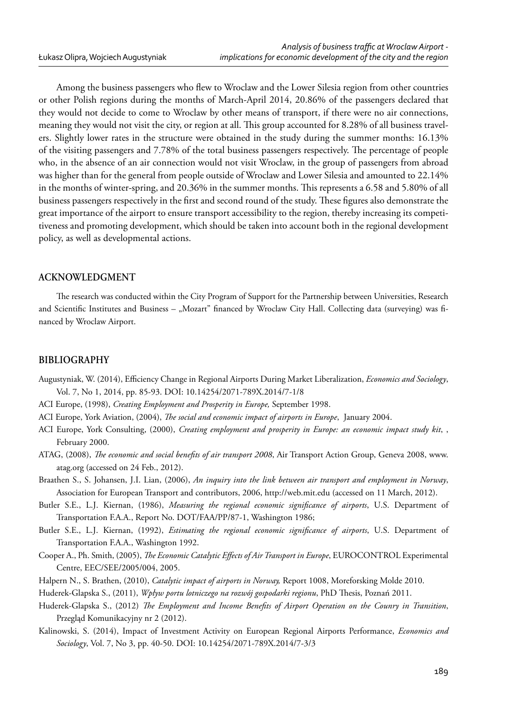Among the business passengers who flew to Wroclaw and the Lower Silesia region from other countries or other Polish regions during the months of March-April 2014, 20.86% of the passengers declared that they would not decide to come to Wroclaw by other means of transport, if there were no air connections, meaning they would not visit the city, or region at all. This group accounted for 8.28% of all business travelers. Slightly lower rates in the structure were obtained in the study during the summer months: 16.13% of the visiting passengers and 7.78% of the total business passengers respectively. The percentage of people who, in the absence of an air connection would not visit Wroclaw, in the group of passengers from abroad was higher than for the general from people outside of Wroclaw and Lower Silesia and amounted to 22.14% in the months of winter-spring, and 20.36% in the summer months. This represents a 6.58 and 5.80% of all business passengers respectively in the first and second round of the study. These figures also demonstrate the great importance of the airport to ensure transport accessibility to the region, thereby increasing its competitiveness and promoting development, which should be taken into account both in the regional development policy, as well as developmental actions.

#### **ACKNOWLEDGMENT**

The research was conducted within the City Program of Support for the Partnership between Universities, Research and Scientific Institutes and Business – "Mozart" financed by Wroclaw City Hall. Collecting data (surveying) was financed by Wroclaw Airport.

#### **BIBLIOGRAPHY**

- Augustyniak, W. (2014), Efficiency Change in Regional Airports During Market Liberalization, *Economics and Sociology*, Vol. 7, No 1, 2014, pp. 85-93. DOI: 10.14254/2071-789X.2014/7-1/8
- ACI Europe, (1998), *Creating Employment and Prosperity in Europe,* September 1998.
- ACI Europe, York Aviation, (2004), *The social and economic impact of airports in Europe*, January 2004.
- ACI Europe, York Consulting, (2000), *Creating employment and prosperity in Europe: an economic impact study kit*, , February 2000.
- ATAG, (2008), *The economic and social benefits of air transport 2008*, Air Transport Action Group, Geneva 2008, www. atag.org (accessed on 24 Feb., 2012).
- Braathen S., S. Johansen, J.I. Lian, (2006), *An inquiry into the link between air transport and employment in Norway*, Association for European Transport and contributors, 2006, http://web.mit.edu (accessed on 11 March, 2012).
- Butler S.E., L.J. Kiernan, (1986), *Measuring the regional economic significance of airports*, U.S. Department of Transportation F.A.A., Report No. DOT/FAA/PP/87-1, Washington 1986;
- Butler S.E., L.J. Kiernan, (1992), *Estimating the regional economic significance of airports*, U.S. Department of Transportation F.A.A., Washington 1992.
- Cooper A., Ph. Smith, (2005), *The Economic Catalytic Effects of Air Transport in Europe*, EUROCONTROL Experimental Centre, EEC/SEE/2005/004, 2005.
- Halpern N., S. Brathen, (2010), *Catalytic impact of airports in Norway,* Report 1008, Moreforsking Molde 2010.

Huderek-Glapska S., (2011), *Wpływ portu lotniczego na rozwój gospodarki regionu*, PhD Thesis, Poznań 2011.

- Huderek-Glapska S., (2012) *The Employment and Income Benefits of Airport Operation on the Counry in Transition*, Przegląd Komunikacyjny nr 2 (2012).
- Kalinowski, S. (2014), Impact of Investment Activity on European Regional Airports Performance, *Economics and Sociology*, Vol. 7, No 3, pp. 40-50. DOI: 10.14254/2071-789X.2014/7-3/3